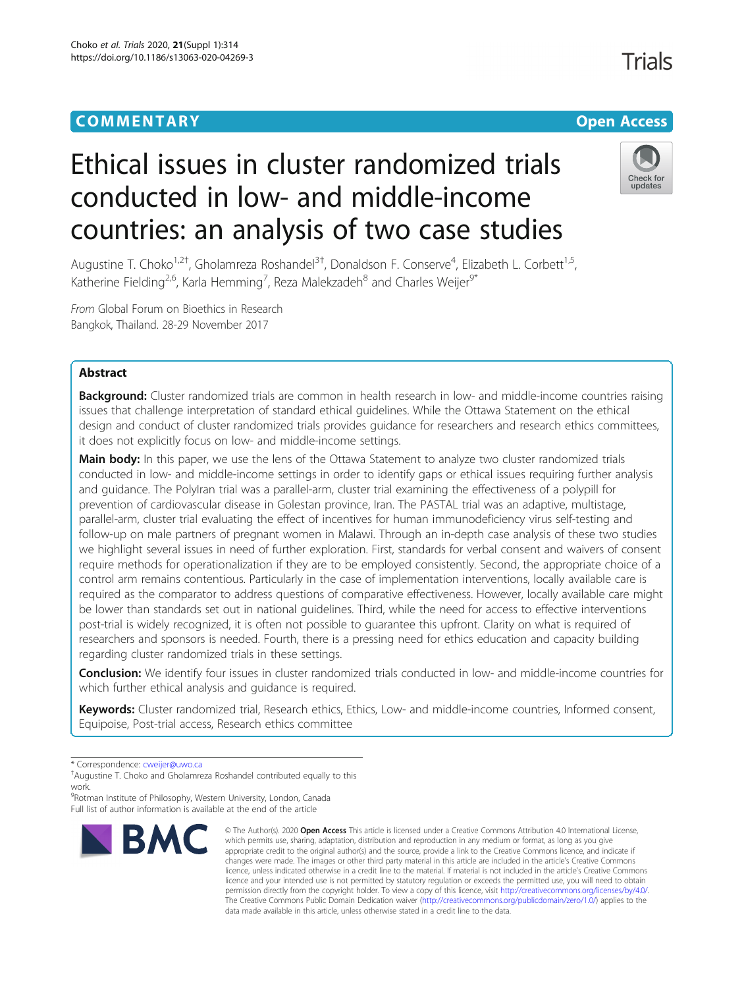# **COMMENTARY COMMENTARY Open Access**

# Ethical issues in cluster randomized trials conducted in low- and middle-income countries: an analysis of two case studies

Augustine T. Choko<sup>1,2†</sup>, Gholamreza Roshandel<sup>3†</sup>, Donaldson F. Conserve<sup>4</sup>, Elizabeth L. Corbett<sup>1,5</sup>, Katherine Fielding<sup>2,6</sup>, Karla Hemming<sup>7</sup>, Reza Malekzadeh<sup>8</sup> and Charles Weijer<sup>9\*</sup>

From Global Forum on Bioethics in Research Bangkok, Thailand. 28-29 November 2017

# Abstract

Background: Cluster randomized trials are common in health research in low- and middle-income countries raising issues that challenge interpretation of standard ethical guidelines. While the Ottawa Statement on the ethical design and conduct of cluster randomized trials provides guidance for researchers and research ethics committees, it does not explicitly focus on low- and middle-income settings.

Main body: In this paper, we use the lens of the Ottawa Statement to analyze two cluster randomized trials conducted in low- and middle-income settings in order to identify gaps or ethical issues requiring further analysis and guidance. The PolyIran trial was a parallel-arm, cluster trial examining the effectiveness of a polypill for prevention of cardiovascular disease in Golestan province, Iran. The PASTAL trial was an adaptive, multistage, parallel-arm, cluster trial evaluating the effect of incentives for human immunodeficiency virus self-testing and follow-up on male partners of pregnant women in Malawi. Through an in-depth case analysis of these two studies we highlight several issues in need of further exploration. First, standards for verbal consent and waivers of consent require methods for operationalization if they are to be employed consistently. Second, the appropriate choice of a control arm remains contentious. Particularly in the case of implementation interventions, locally available care is required as the comparator to address questions of comparative effectiveness. However, locally available care might be lower than standards set out in national guidelines. Third, while the need for access to effective interventions post-trial is widely recognized, it is often not possible to guarantee this upfront. Clarity on what is required of researchers and sponsors is needed. Fourth, there is a pressing need for ethics education and capacity building regarding cluster randomized trials in these settings.

Conclusion: We identify four issues in cluster randomized trials conducted in low- and middle-income countries for which further ethical analysis and guidance is required.

Keywords: Cluster randomized trial, Research ethics, Ethics, Low- and middle-income countries, Informed consent, Equipoise, Post-trial access, Research ethics committee

\* Correspondence: [cweijer@uwo.ca](mailto:cweijer@uwo.ca) †

<sup>9</sup>Rotman Institute of Philosophy, Western University, London, Canada Full list of author information is available at the end of the article



<sup>©</sup> The Author(s), 2020 **Open Access** This article is licensed under a Creative Commons Attribution 4.0 International License, which permits use, sharing, adaptation, distribution and reproduction in any medium or format, as long as you give appropriate credit to the original author(s) and the source, provide a link to the Creative Commons licence, and indicate if changes were made. The images or other third party material in this article are included in the article's Creative Commons licence, unless indicated otherwise in a credit line to the material. If material is not included in the article's Creative Commons licence and your intended use is not permitted by statutory regulation or exceeds the permitted use, you will need to obtain permission directly from the copyright holder. To view a copy of this licence, visit [http://creativecommons.org/licenses/by/4.0/.](http://creativecommons.org/licenses/by/4.0/) The Creative Commons Public Domain Dedication waiver [\(http://creativecommons.org/publicdomain/zero/1.0/](http://creativecommons.org/publicdomain/zero/1.0/)) applies to the data made available in this article, unless otherwise stated in a credit line to the data.



Augustine T. Choko and Gholamreza Roshandel contributed equally to this work.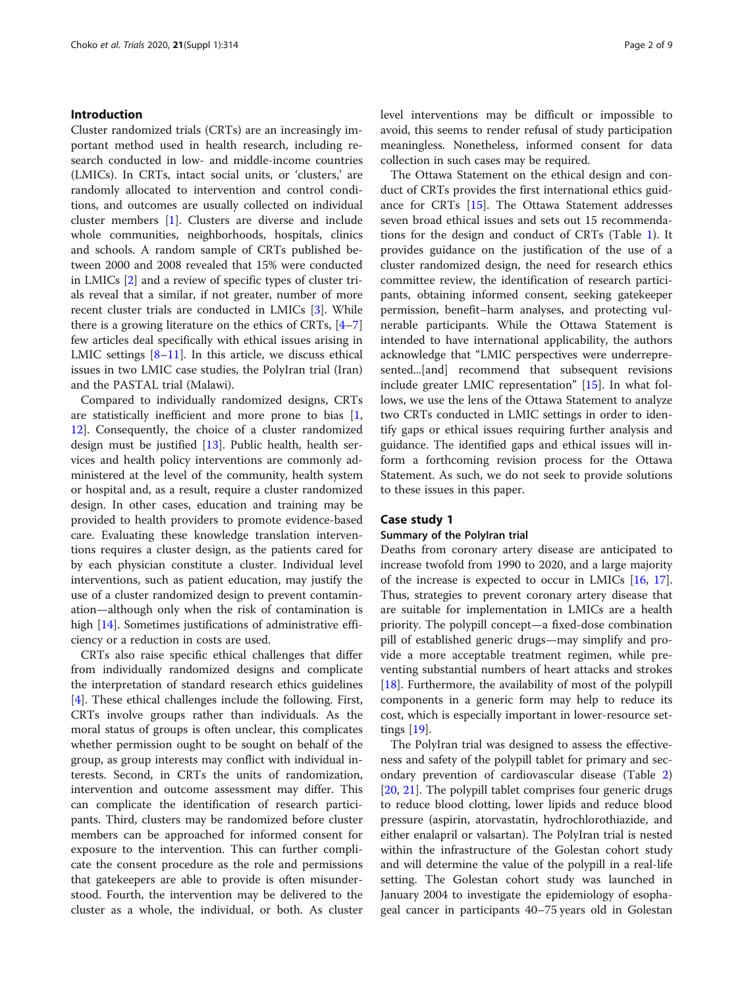# Introduction

Cluster randomized trials (CRTs) are an increasingly important method used in health research, including research conducted in low- and middle-income countries (LMICs). In CRTs, intact social units, or 'clusters,' are randomly allocated to intervention and control conditions, and outcomes are usually collected on individual cluster members [\[1](#page-7-0)]. Clusters are diverse and include whole communities, neighborhoods, hospitals, clinics and schools. A random sample of CRTs published between 2000 and 2008 revealed that 15% were conducted in LMICs [\[2](#page-7-0)] and a review of specific types of cluster trials reveal that a similar, if not greater, number of more recent cluster trials are conducted in LMICs [[3\]](#page-7-0). While there is a growing literature on the ethics of CRTs, [[4](#page-7-0)–[7](#page-7-0)] few articles deal specifically with ethical issues arising in LMIC settings  $[8-11]$  $[8-11]$  $[8-11]$ . In this article, we discuss ethical issues in two LMIC case studies, the PolyIran trial (Iran) and the PASTAL trial (Malawi).

Compared to individually randomized designs, CRTs are statistically inefficient and more prone to bias  $[1, 1]$  $[1, 1]$ [12\]](#page-7-0). Consequently, the choice of a cluster randomized design must be justified [\[13\]](#page-7-0). Public health, health services and health policy interventions are commonly administered at the level of the community, health system or hospital and, as a result, require a cluster randomized design. In other cases, education and training may be provided to health providers to promote evidence-based care. Evaluating these knowledge translation interventions requires a cluster design, as the patients cared for by each physician constitute a cluster. Individual level interventions, such as patient education, may justify the use of a cluster randomized design to prevent contamination—although only when the risk of contamination is high [[14\]](#page-7-0). Sometimes justifications of administrative efficiency or a reduction in costs are used.

CRTs also raise specific ethical challenges that differ from individually randomized designs and complicate the interpretation of standard research ethics guidelines [[4\]](#page-7-0). These ethical challenges include the following. First, CRTs involve groups rather than individuals. As the moral status of groups is often unclear, this complicates whether permission ought to be sought on behalf of the group, as group interests may conflict with individual interests. Second, in CRTs the units of randomization, intervention and outcome assessment may differ. This can complicate the identification of research participants. Third, clusters may be randomized before cluster members can be approached for informed consent for exposure to the intervention. This can further complicate the consent procedure as the role and permissions that gatekeepers are able to provide is often misunderstood. Fourth, the intervention may be delivered to the cluster as a whole, the individual, or both. As cluster level interventions may be difficult or impossible to avoid, this seems to render refusal of study participation meaningless. Nonetheless, informed consent for data collection in such cases may be required.

The Ottawa Statement on the ethical design and conduct of CRTs provides the first international ethics guidance for CRTs [[15\]](#page-7-0). The Ottawa Statement addresses seven broad ethical issues and sets out 15 recommendations for the design and conduct of CRTs (Table [1\)](#page-2-0). It provides guidance on the justification of the use of a cluster randomized design, the need for research ethics committee review, the identification of research participants, obtaining informed consent, seeking gatekeeper permission, benefit–harm analyses, and protecting vulnerable participants. While the Ottawa Statement is intended to have international applicability, the authors acknowledge that "LMIC perspectives were underrepresented...[and] recommend that subsequent revisions include greater LMIC representation" [[15\]](#page-7-0). In what follows, we use the lens of the Ottawa Statement to analyze two CRTs conducted in LMIC settings in order to identify gaps or ethical issues requiring further analysis and guidance. The identified gaps and ethical issues will inform a forthcoming revision process for the Ottawa Statement. As such, we do not seek to provide solutions to these issues in this paper.

## Case study 1

#### Summary of the PolyIran trial

Deaths from coronary artery disease are anticipated to increase twofold from 1990 to 2020, and a large majority of the increase is expected to occur in LMICs [[16](#page-7-0), [17](#page-7-0)]. Thus, strategies to prevent coronary artery disease that are suitable for implementation in LMICs are a health priority. The polypill concept—a fixed-dose combination pill of established generic drugs—may simplify and provide a more acceptable treatment regimen, while preventing substantial numbers of heart attacks and strokes [[18\]](#page-7-0). Furthermore, the availability of most of the polypill components in a generic form may help to reduce its cost, which is especially important in lower-resource settings [\[19](#page-7-0)].

The PolyIran trial was designed to assess the effectiveness and safety of the polypill tablet for primary and secondary prevention of cardiovascular disease (Table [2](#page-3-0)) [[20,](#page-8-0) [21\]](#page-8-0). The polypill tablet comprises four generic drugs to reduce blood clotting, lower lipids and reduce blood pressure (aspirin, atorvastatin, hydrochlorothiazide, and either enalapril or valsartan). The PolyIran trial is nested within the infrastructure of the Golestan cohort study and will determine the value of the polypill in a real-life setting. The Golestan cohort study was launched in January 2004 to investigate the epidemiology of esophageal cancer in participants 40–75 years old in Golestan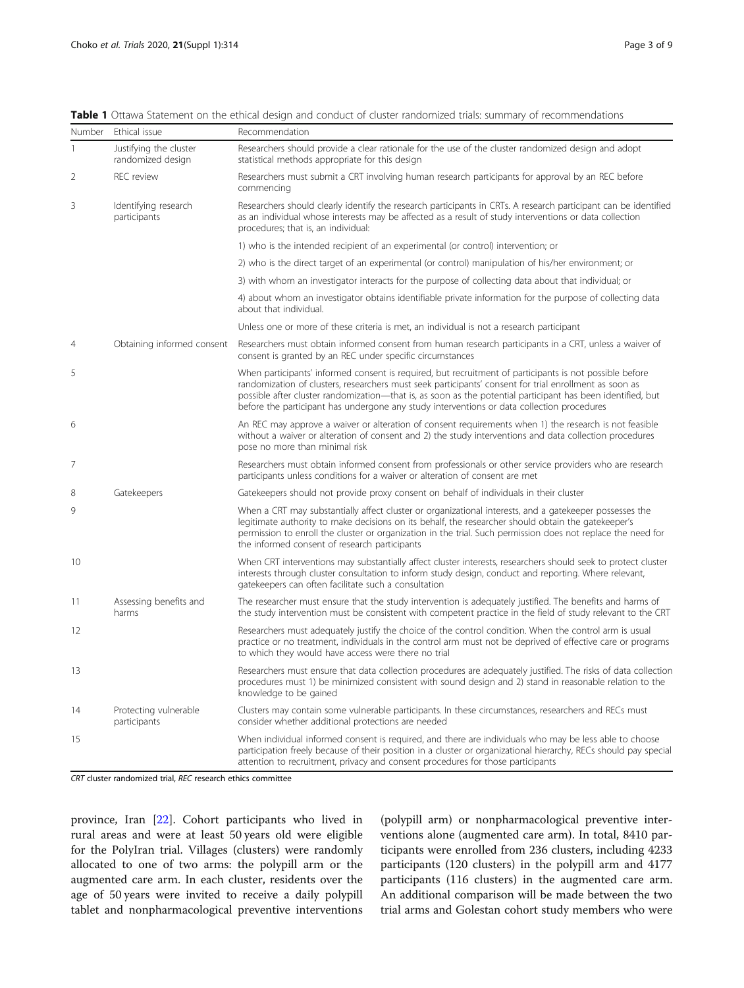| <b>Number</b>  | Ethical issue                               | Recommendation                                                                                                                                                                                                                                                                                                                                                                                                                 |
|----------------|---------------------------------------------|--------------------------------------------------------------------------------------------------------------------------------------------------------------------------------------------------------------------------------------------------------------------------------------------------------------------------------------------------------------------------------------------------------------------------------|
| 1              | Justifying the cluster<br>randomized design | Researchers should provide a clear rationale for the use of the cluster randomized design and adopt<br>statistical methods appropriate for this design                                                                                                                                                                                                                                                                         |
| 2              | <b>REC</b> review                           | Researchers must submit a CRT involving human research participants for approval by an REC before<br>commencing                                                                                                                                                                                                                                                                                                                |
| 3              | Identifying research<br>participants        | Researchers should clearly identify the research participants in CRTs. A research participant can be identified<br>as an individual whose interests may be affected as a result of study interventions or data collection<br>procedures; that is, an individual:                                                                                                                                                               |
|                |                                             | 1) who is the intended recipient of an experimental (or control) intervention; or                                                                                                                                                                                                                                                                                                                                              |
|                |                                             | 2) who is the direct target of an experimental (or control) manipulation of his/her environment; or                                                                                                                                                                                                                                                                                                                            |
|                |                                             | 3) with whom an investigator interacts for the purpose of collecting data about that individual; or                                                                                                                                                                                                                                                                                                                            |
|                |                                             | 4) about whom an investigator obtains identifiable private information for the purpose of collecting data<br>about that individual.                                                                                                                                                                                                                                                                                            |
|                |                                             | Unless one or more of these criteria is met, an individual is not a research participant                                                                                                                                                                                                                                                                                                                                       |
| $\overline{4}$ | Obtaining informed consent                  | Researchers must obtain informed consent from human research participants in a CRT, unless a waiver of<br>consent is granted by an REC under specific circumstances                                                                                                                                                                                                                                                            |
| 5              |                                             | When participants' informed consent is required, but recruitment of participants is not possible before<br>randomization of clusters, researchers must seek participants' consent for trial enrollment as soon as<br>possible after cluster randomization—that is, as soon as the potential participant has been identified, but<br>before the participant has undergone any study interventions or data collection procedures |
| 6              |                                             | An REC may approve a waiver or alteration of consent requirements when 1) the research is not feasible<br>without a waiver or alteration of consent and 2) the study interventions and data collection procedures<br>pose no more than minimal risk                                                                                                                                                                            |
| 7              |                                             | Researchers must obtain informed consent from professionals or other service providers who are research<br>participants unless conditions for a waiver or alteration of consent are met                                                                                                                                                                                                                                        |
| 8              | Gatekeepers                                 | Gatekeepers should not provide proxy consent on behalf of individuals in their cluster                                                                                                                                                                                                                                                                                                                                         |
| 9              |                                             | When a CRT may substantially affect cluster or organizational interests, and a gatekeeper possesses the<br>legitimate authority to make decisions on its behalf, the researcher should obtain the gatekeeper's<br>permission to enroll the cluster or organization in the trial. Such permission does not replace the need for<br>the informed consent of research participants                                                |
| 10             |                                             | When CRT interventions may substantially affect cluster interests, researchers should seek to protect cluster<br>interests through cluster consultation to inform study design, conduct and reporting. Where relevant,<br>gatekeepers can often facilitate such a consultation                                                                                                                                                 |
| 11             | Assessing benefits and<br>harms             | The researcher must ensure that the study intervention is adequately justified. The benefits and harms of<br>the study intervention must be consistent with competent practice in the field of study relevant to the CRT                                                                                                                                                                                                       |
| 12             |                                             | Researchers must adequately justify the choice of the control condition. When the control arm is usual<br>practice or no treatment, individuals in the control arm must not be deprived of effective care or programs<br>to which they would have access were there no trial                                                                                                                                                   |
| 13             |                                             | Researchers must ensure that data collection procedures are adequately justified. The risks of data collection<br>procedures must 1) be minimized consistent with sound design and 2) stand in reasonable relation to the<br>knowledge to be gained                                                                                                                                                                            |
| 14             | Protecting vulnerable<br>participants       | Clusters may contain some vulnerable participants. In these circumstances, researchers and RECs must<br>consider whether additional protections are needed                                                                                                                                                                                                                                                                     |
| 15             |                                             | When individual informed consent is required, and there are individuals who may be less able to choose<br>participation freely because of their position in a cluster or organizational hierarchy, RECs should pay special<br>attention to recruitment, privacy and consent procedures for those participants                                                                                                                  |

<span id="page-2-0"></span>Table 1 Ottawa Statement on the ethical design and conduct of cluster randomized trials: summary of recommendations

CRT cluster randomized trial, REC research ethics committee

province, Iran [\[22](#page-8-0)]. Cohort participants who lived in rural areas and were at least 50 years old were eligible for the PolyIran trial. Villages (clusters) were randomly allocated to one of two arms: the polypill arm or the augmented care arm. In each cluster, residents over the age of 50 years were invited to receive a daily polypill tablet and nonpharmacological preventive interventions

(polypill arm) or nonpharmacological preventive interventions alone (augmented care arm). In total, 8410 participants were enrolled from 236 clusters, including 4233 participants (120 clusters) in the polypill arm and 4177 participants (116 clusters) in the augmented care arm. An additional comparison will be made between the two trial arms and Golestan cohort study members who were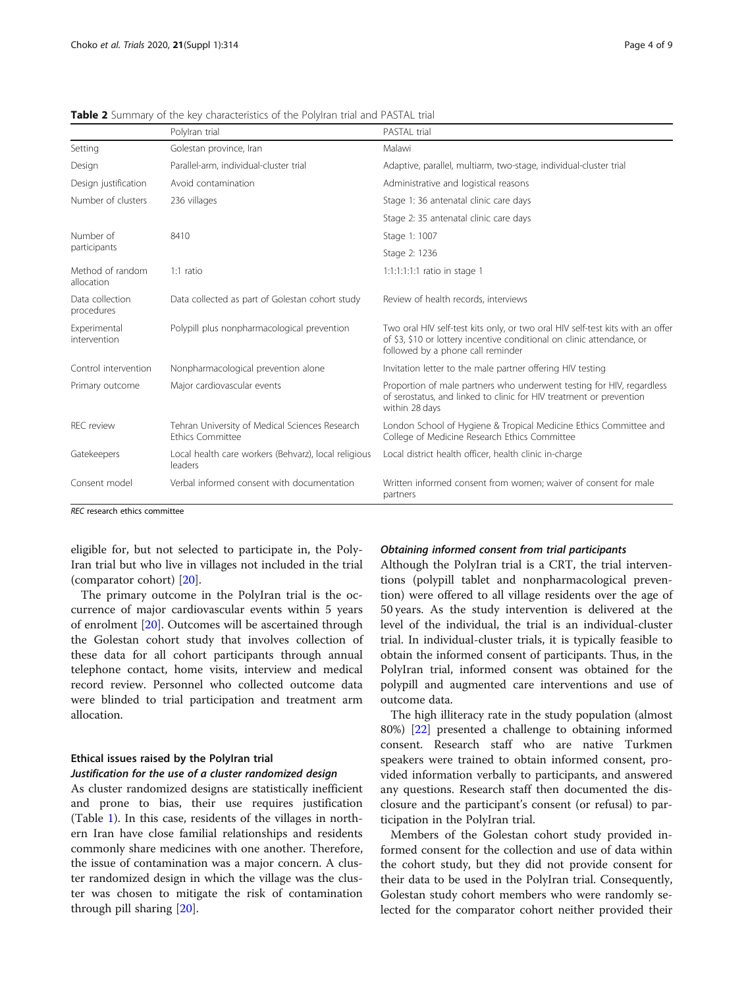|                                | Polylran trial                                                            | PASTAL trial                                                                                                                                                                                  |
|--------------------------------|---------------------------------------------------------------------------|-----------------------------------------------------------------------------------------------------------------------------------------------------------------------------------------------|
| Setting                        | Golestan province, Iran                                                   | Malawi                                                                                                                                                                                        |
| Design                         | Parallel-arm, individual-cluster trial                                    | Adaptive, parallel, multiarm, two-stage, individual-cluster trial                                                                                                                             |
| Design justification           | Avoid contamination                                                       | Administrative and logistical reasons                                                                                                                                                         |
| Number of clusters             | 236 villages                                                              | Stage 1: 36 antenatal clinic care days                                                                                                                                                        |
|                                |                                                                           | Stage 2: 35 antenatal clinic care days                                                                                                                                                        |
| Number of                      | 8410                                                                      | Stage 1: 1007                                                                                                                                                                                 |
| participants                   |                                                                           | Stage 2: 1236                                                                                                                                                                                 |
| Method of random<br>allocation | $1:1$ ratio                                                               | $1:1:1:1:1:1$ ratio in stage 1                                                                                                                                                                |
| Data collection<br>procedures  | Data collected as part of Golestan cohort study                           | Review of health records, interviews                                                                                                                                                          |
| Experimental<br>intervention   | Polypill plus nonpharmacological prevention                               | Two oral HIV self-test kits only, or two oral HIV self-test kits with an offer<br>of \$3, \$10 or lottery incentive conditional on clinic attendance, or<br>followed by a phone call reminder |
| Control intervention           | Nonpharmacological prevention alone                                       | Invitation letter to the male partner offering HIV testing                                                                                                                                    |
| Primary outcome                | Major cardiovascular events                                               | Proportion of male partners who underwent testing for HIV, regardless<br>of serostatus, and linked to clinic for HIV treatment or prevention<br>within 28 days                                |
| <b>REC</b> review              | Tehran University of Medical Sciences Research<br><b>Ethics Committee</b> | London School of Hygiene & Tropical Medicine Ethics Committee and<br>College of Medicine Research Ethics Committee                                                                            |
| Gatekeepers                    | Local health care workers (Behvarz), local religious<br>leaders           | Local district health officer, health clinic in-charge                                                                                                                                        |
| Consent model                  | Verbal informed consent with documentation                                | Written informed consent from women; waiver of consent for male<br>partners                                                                                                                   |

<span id="page-3-0"></span>Table 2 Summary of the key characteristics of the PolyIran trial and PASTAL trial

REC research ethics committee

eligible for, but not selected to participate in, the Poly-Iran trial but who live in villages not included in the trial (comparator cohort) [\[20](#page-8-0)].

The primary outcome in the PolyIran trial is the occurrence of major cardiovascular events within 5 years of enrolment [\[20\]](#page-8-0). Outcomes will be ascertained through the Golestan cohort study that involves collection of these data for all cohort participants through annual telephone contact, home visits, interview and medical record review. Personnel who collected outcome data were blinded to trial participation and treatment arm allocation.

# Ethical issues raised by the PolyIran trial Justification for the use of a cluster randomized design

As cluster randomized designs are statistically inefficient and prone to bias, their use requires justification (Table [1](#page-2-0)). In this case, residents of the villages in northern Iran have close familial relationships and residents commonly share medicines with one another. Therefore, the issue of contamination was a major concern. A cluster randomized design in which the village was the cluster was chosen to mitigate the risk of contamination through pill sharing [\[20\]](#page-8-0).

#### Obtaining informed consent from trial participants

Although the PolyIran trial is a CRT, the trial interventions (polypill tablet and nonpharmacological prevention) were offered to all village residents over the age of 50 years. As the study intervention is delivered at the level of the individual, the trial is an individual-cluster trial. In individual-cluster trials, it is typically feasible to obtain the informed consent of participants. Thus, in the PolyIran trial, informed consent was obtained for the polypill and augmented care interventions and use of outcome data.

The high illiteracy rate in the study population (almost 80%) [\[22](#page-8-0)] presented a challenge to obtaining informed consent. Research staff who are native Turkmen speakers were trained to obtain informed consent, provided information verbally to participants, and answered any questions. Research staff then documented the disclosure and the participant's consent (or refusal) to participation in the PolyIran trial.

Members of the Golestan cohort study provided informed consent for the collection and use of data within the cohort study, but they did not provide consent for their data to be used in the PolyIran trial. Consequently, Golestan study cohort members who were randomly selected for the comparator cohort neither provided their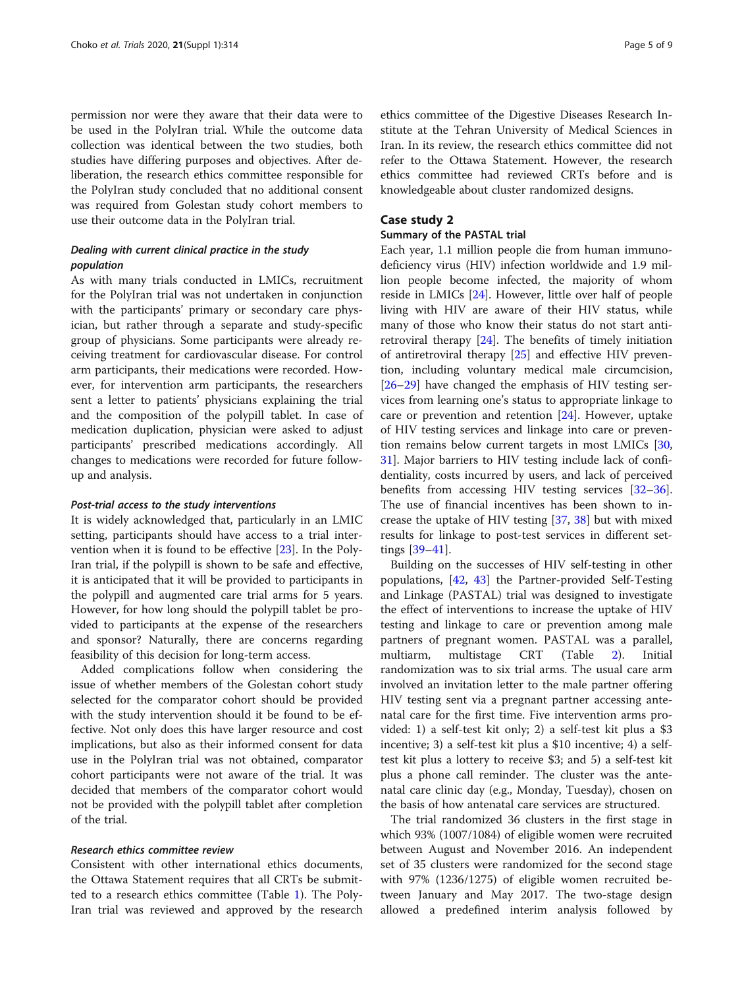permission nor were they aware that their data were to be used in the PolyIran trial. While the outcome data collection was identical between the two studies, both studies have differing purposes and objectives. After deliberation, the research ethics committee responsible for the PolyIran study concluded that no additional consent was required from Golestan study cohort members to use their outcome data in the PolyIran trial.

# Dealing with current clinical practice in the study population

As with many trials conducted in LMICs, recruitment for the PolyIran trial was not undertaken in conjunction with the participants' primary or secondary care physician, but rather through a separate and study-specific group of physicians. Some participants were already receiving treatment for cardiovascular disease. For control arm participants, their medications were recorded. However, for intervention arm participants, the researchers sent a letter to patients' physicians explaining the trial and the composition of the polypill tablet. In case of medication duplication, physician were asked to adjust participants' prescribed medications accordingly. All changes to medications were recorded for future followup and analysis.

#### Post-trial access to the study interventions

It is widely acknowledged that, particularly in an LMIC setting, participants should have access to a trial intervention when it is found to be effective [[23\]](#page-8-0). In the Poly-Iran trial, if the polypill is shown to be safe and effective, it is anticipated that it will be provided to participants in the polypill and augmented care trial arms for 5 years. However, for how long should the polypill tablet be provided to participants at the expense of the researchers and sponsor? Naturally, there are concerns regarding feasibility of this decision for long-term access.

Added complications follow when considering the issue of whether members of the Golestan cohort study selected for the comparator cohort should be provided with the study intervention should it be found to be effective. Not only does this have larger resource and cost implications, but also as their informed consent for data use in the PolyIran trial was not obtained, comparator cohort participants were not aware of the trial. It was decided that members of the comparator cohort would not be provided with the polypill tablet after completion of the trial.

# Research ethics committee review

Consistent with other international ethics documents, the Ottawa Statement requires that all CRTs be submitted to a research ethics committee (Table [1](#page-2-0)). The Poly-Iran trial was reviewed and approved by the research

ethics committee of the Digestive Diseases Research Institute at the Tehran University of Medical Sciences in Iran. In its review, the research ethics committee did not refer to the Ottawa Statement. However, the research ethics committee had reviewed CRTs before and is knowledgeable about cluster randomized designs.

## Case study 2

#### Summary of the PASTAL trial

Each year, 1.1 million people die from human immunodeficiency virus (HIV) infection worldwide and 1.9 million people become infected, the majority of whom reside in LMICs [\[24](#page-8-0)]. However, little over half of people living with HIV are aware of their HIV status, while many of those who know their status do not start antiretroviral therapy [[24](#page-8-0)]. The benefits of timely initiation of antiretroviral therapy [[25\]](#page-8-0) and effective HIV prevention, including voluntary medical male circumcision, [[26](#page-8-0)–[29](#page-8-0)] have changed the emphasis of HIV testing services from learning one's status to appropriate linkage to care or prevention and retention [[24](#page-8-0)]. However, uptake of HIV testing services and linkage into care or prevention remains below current targets in most LMICs [[30](#page-8-0), [31\]](#page-8-0). Major barriers to HIV testing include lack of confidentiality, costs incurred by users, and lack of perceived benefits from accessing HIV testing services [[32](#page-8-0)–[36](#page-8-0)]. The use of financial incentives has been shown to increase the uptake of HIV testing [[37](#page-8-0), [38](#page-8-0)] but with mixed results for linkage to post-test services in different settings [\[39](#page-8-0)–[41](#page-8-0)].

Building on the successes of HIV self-testing in other populations, [[42,](#page-8-0) [43](#page-8-0)] the Partner-provided Self-Testing and Linkage (PASTAL) trial was designed to investigate the effect of interventions to increase the uptake of HIV testing and linkage to care or prevention among male partners of pregnant women. PASTAL was a parallel, multiarm, multistage CRT (Table [2\)](#page-3-0). Initial randomization was to six trial arms. The usual care arm involved an invitation letter to the male partner offering HIV testing sent via a pregnant partner accessing antenatal care for the first time. Five intervention arms provided: 1) a self-test kit only; 2) a self-test kit plus a \$3 incentive; 3) a self-test kit plus a \$10 incentive; 4) a selftest kit plus a lottery to receive \$3; and 5) a self-test kit plus a phone call reminder. The cluster was the antenatal care clinic day (e.g., Monday, Tuesday), chosen on the basis of how antenatal care services are structured.

The trial randomized 36 clusters in the first stage in which 93% (1007/1084) of eligible women were recruited between August and November 2016. An independent set of 35 clusters were randomized for the second stage with 97% (1236/1275) of eligible women recruited between January and May 2017. The two-stage design allowed a predefined interim analysis followed by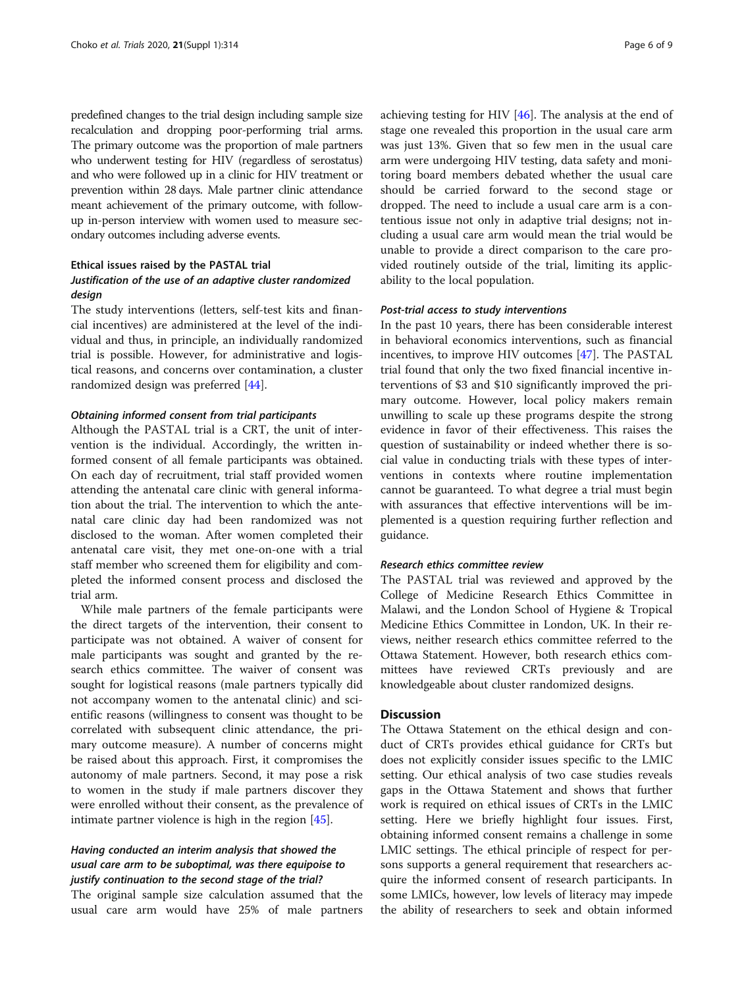predefined changes to the trial design including sample size recalculation and dropping poor-performing trial arms. The primary outcome was the proportion of male partners who underwent testing for HIV (regardless of serostatus) and who were followed up in a clinic for HIV treatment or prevention within 28 days. Male partner clinic attendance meant achievement of the primary outcome, with followup in-person interview with women used to measure secondary outcomes including adverse events.

# Ethical issues raised by the PASTAL trial Justification of the use of an adaptive cluster randomized design

The study interventions (letters, self-test kits and financial incentives) are administered at the level of the individual and thus, in principle, an individually randomized trial is possible. However, for administrative and logistical reasons, and concerns over contamination, a cluster randomized design was preferred [[44\]](#page-8-0).

# Obtaining informed consent from trial participants

Although the PASTAL trial is a CRT, the unit of intervention is the individual. Accordingly, the written informed consent of all female participants was obtained. On each day of recruitment, trial staff provided women attending the antenatal care clinic with general information about the trial. The intervention to which the antenatal care clinic day had been randomized was not disclosed to the woman. After women completed their antenatal care visit, they met one-on-one with a trial staff member who screened them for eligibility and completed the informed consent process and disclosed the trial arm.

While male partners of the female participants were the direct targets of the intervention, their consent to participate was not obtained. A waiver of consent for male participants was sought and granted by the research ethics committee. The waiver of consent was sought for logistical reasons (male partners typically did not accompany women to the antenatal clinic) and scientific reasons (willingness to consent was thought to be correlated with subsequent clinic attendance, the primary outcome measure). A number of concerns might be raised about this approach. First, it compromises the autonomy of male partners. Second, it may pose a risk to women in the study if male partners discover they were enrolled without their consent, as the prevalence of intimate partner violence is high in the region [\[45](#page-8-0)].

# Having conducted an interim analysis that showed the usual care arm to be suboptimal, was there equipoise to justify continuation to the second stage of the trial?

The original sample size calculation assumed that the usual care arm would have 25% of male partners achieving testing for HIV [[46](#page-8-0)]. The analysis at the end of stage one revealed this proportion in the usual care arm was just 13%. Given that so few men in the usual care arm were undergoing HIV testing, data safety and monitoring board members debated whether the usual care should be carried forward to the second stage or dropped. The need to include a usual care arm is a contentious issue not only in adaptive trial designs; not including a usual care arm would mean the trial would be unable to provide a direct comparison to the care provided routinely outside of the trial, limiting its applicability to the local population.

#### Post-trial access to study interventions

In the past 10 years, there has been considerable interest in behavioral economics interventions, such as financial incentives, to improve HIV outcomes [[47](#page-8-0)]. The PASTAL trial found that only the two fixed financial incentive interventions of \$3 and \$10 significantly improved the primary outcome. However, local policy makers remain unwilling to scale up these programs despite the strong evidence in favor of their effectiveness. This raises the question of sustainability or indeed whether there is social value in conducting trials with these types of interventions in contexts where routine implementation cannot be guaranteed. To what degree a trial must begin with assurances that effective interventions will be implemented is a question requiring further reflection and guidance.

# Research ethics committee review

The PASTAL trial was reviewed and approved by the College of Medicine Research Ethics Committee in Malawi, and the London School of Hygiene & Tropical Medicine Ethics Committee in London, UK. In their reviews, neither research ethics committee referred to the Ottawa Statement. However, both research ethics committees have reviewed CRTs previously and are knowledgeable about cluster randomized designs.

# **Discussion**

The Ottawa Statement on the ethical design and conduct of CRTs provides ethical guidance for CRTs but does not explicitly consider issues specific to the LMIC setting. Our ethical analysis of two case studies reveals gaps in the Ottawa Statement and shows that further work is required on ethical issues of CRTs in the LMIC setting. Here we briefly highlight four issues. First, obtaining informed consent remains a challenge in some LMIC settings. The ethical principle of respect for persons supports a general requirement that researchers acquire the informed consent of research participants. In some LMICs, however, low levels of literacy may impede the ability of researchers to seek and obtain informed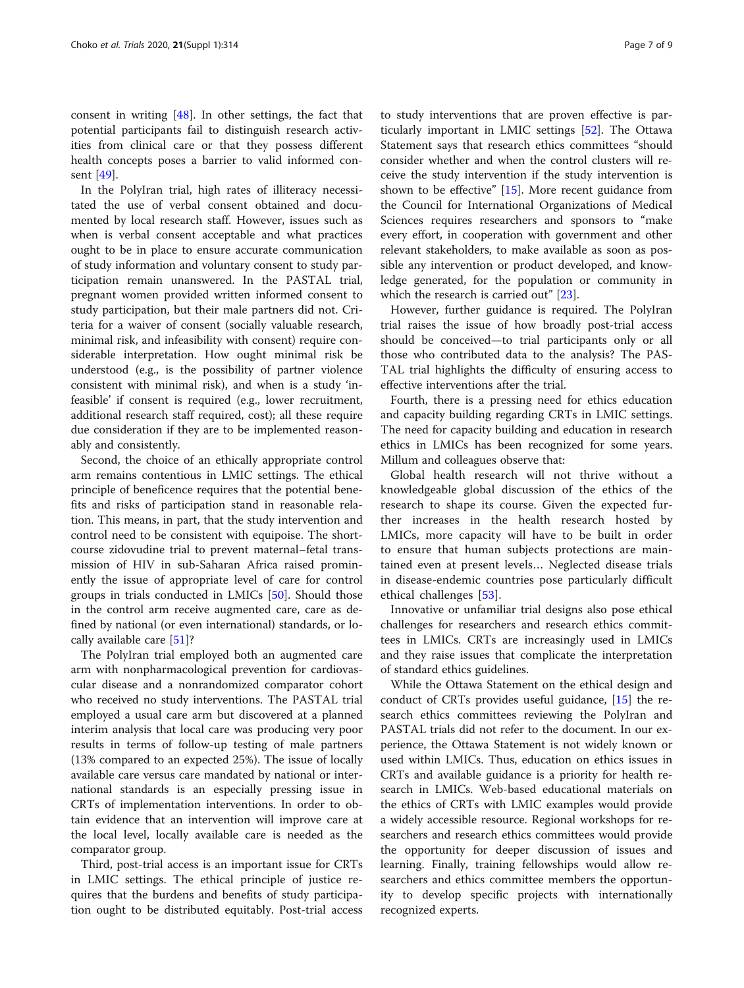consent in writing [[48\]](#page-8-0). In other settings, the fact that potential participants fail to distinguish research activities from clinical care or that they possess different health concepts poses a barrier to valid informed consent [[49](#page-8-0)].

In the PolyIran trial, high rates of illiteracy necessitated the use of verbal consent obtained and documented by local research staff. However, issues such as when is verbal consent acceptable and what practices ought to be in place to ensure accurate communication of study information and voluntary consent to study participation remain unanswered. In the PASTAL trial, pregnant women provided written informed consent to study participation, but their male partners did not. Criteria for a waiver of consent (socially valuable research, minimal risk, and infeasibility with consent) require considerable interpretation. How ought minimal risk be understood (e.g., is the possibility of partner violence consistent with minimal risk), and when is a study 'infeasible' if consent is required (e.g., lower recruitment, additional research staff required, cost); all these require due consideration if they are to be implemented reasonably and consistently.

Second, the choice of an ethically appropriate control arm remains contentious in LMIC settings. The ethical principle of beneficence requires that the potential benefits and risks of participation stand in reasonable relation. This means, in part, that the study intervention and control need to be consistent with equipoise. The shortcourse zidovudine trial to prevent maternal–fetal transmission of HIV in sub-Saharan Africa raised prominently the issue of appropriate level of care for control groups in trials conducted in LMICs [[50](#page-8-0)]. Should those in the control arm receive augmented care, care as defined by national (or even international) standards, or locally available care [[51\]](#page-8-0)?

The PolyIran trial employed both an augmented care arm with nonpharmacological prevention for cardiovascular disease and a nonrandomized comparator cohort who received no study interventions. The PASTAL trial employed a usual care arm but discovered at a planned interim analysis that local care was producing very poor results in terms of follow-up testing of male partners (13% compared to an expected 25%). The issue of locally available care versus care mandated by national or international standards is an especially pressing issue in CRTs of implementation interventions. In order to obtain evidence that an intervention will improve care at the local level, locally available care is needed as the comparator group.

Third, post-trial access is an important issue for CRTs in LMIC settings. The ethical principle of justice requires that the burdens and benefits of study participation ought to be distributed equitably. Post-trial access

to study interventions that are proven effective is particularly important in LMIC settings [\[52](#page-8-0)]. The Ottawa Statement says that research ethics committees "should consider whether and when the control clusters will receive the study intervention if the study intervention is shown to be effective" [\[15](#page-7-0)]. More recent guidance from the Council for International Organizations of Medical Sciences requires researchers and sponsors to "make every effort, in cooperation with government and other relevant stakeholders, to make available as soon as possible any intervention or product developed, and knowledge generated, for the population or community in which the research is carried out" [[23\]](#page-8-0).

However, further guidance is required. The PolyIran trial raises the issue of how broadly post-trial access should be conceived—to trial participants only or all those who contributed data to the analysis? The PAS-TAL trial highlights the difficulty of ensuring access to effective interventions after the trial.

Fourth, there is a pressing need for ethics education and capacity building regarding CRTs in LMIC settings. The need for capacity building and education in research ethics in LMICs has been recognized for some years. Millum and colleagues observe that:

Global health research will not thrive without a knowledgeable global discussion of the ethics of the research to shape its course. Given the expected further increases in the health research hosted by LMICs, more capacity will have to be built in order to ensure that human subjects protections are maintained even at present levels… Neglected disease trials in disease-endemic countries pose particularly difficult ethical challenges [[53](#page-8-0)].

Innovative or unfamiliar trial designs also pose ethical challenges for researchers and research ethics committees in LMICs. CRTs are increasingly used in LMICs and they raise issues that complicate the interpretation of standard ethics guidelines.

While the Ottawa Statement on the ethical design and conduct of CRTs provides useful guidance, [\[15\]](#page-7-0) the research ethics committees reviewing the PolyIran and PASTAL trials did not refer to the document. In our experience, the Ottawa Statement is not widely known or used within LMICs. Thus, education on ethics issues in CRTs and available guidance is a priority for health research in LMICs. Web-based educational materials on the ethics of CRTs with LMIC examples would provide a widely accessible resource. Regional workshops for researchers and research ethics committees would provide the opportunity for deeper discussion of issues and learning. Finally, training fellowships would allow researchers and ethics committee members the opportunity to develop specific projects with internationally recognized experts.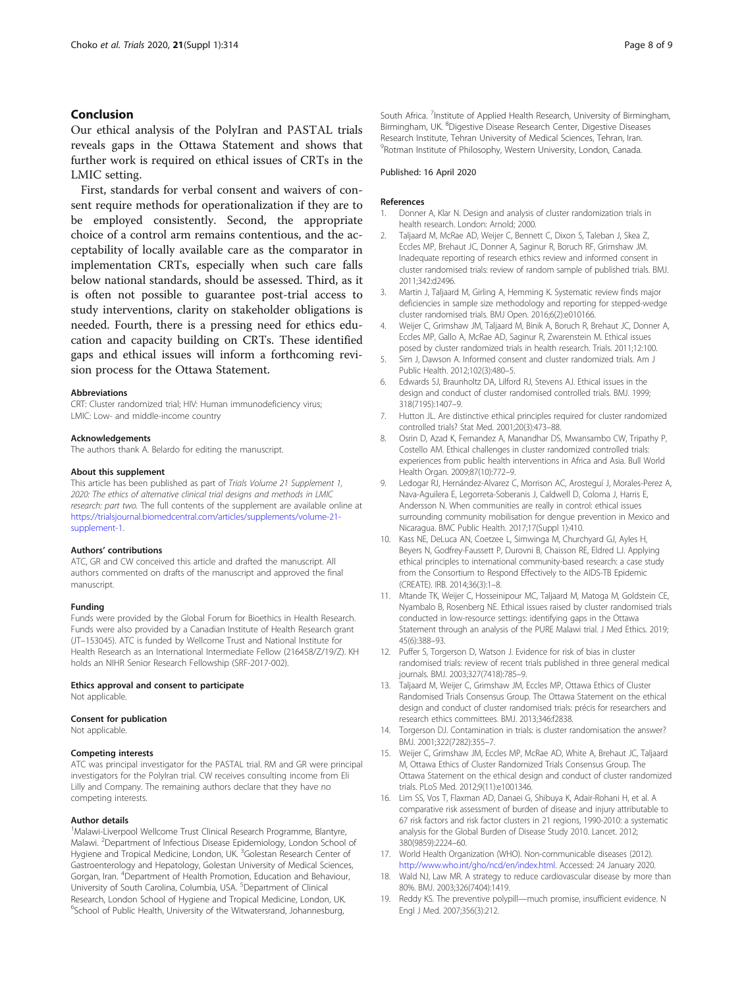# <span id="page-7-0"></span>Conclusion

Our ethical analysis of the PolyIran and PASTAL trials reveals gaps in the Ottawa Statement and shows that further work is required on ethical issues of CRTs in the LMIC setting.

First, standards for verbal consent and waivers of consent require methods for operationalization if they are to be employed consistently. Second, the appropriate choice of a control arm remains contentious, and the acceptability of locally available care as the comparator in implementation CRTs, especially when such care falls below national standards, should be assessed. Third, as it is often not possible to guarantee post-trial access to study interventions, clarity on stakeholder obligations is needed. Fourth, there is a pressing need for ethics education and capacity building on CRTs. These identified gaps and ethical issues will inform a forthcoming revision process for the Ottawa Statement.

#### Abbreviations

CRT: Cluster randomized trial; HIV: Human immunodeficiency virus; LMIC: Low- and middle-income country

#### Acknowledgements

The authors thank A. Belardo for editing the manuscript.

#### About this supplement

This article has been published as part of Trials Volume 21 Supplement 1, 2020: The ethics of alternative clinical trial designs and methods in LMIC research: part two. The full contents of the supplement are available online at [https://trialsjournal.biomedcentral.com/articles/supplements/volume-21](https://trialsjournal.biomedcentral.com/articles/supplements/volume-21-supplement-1) [supplement-1](https://trialsjournal.biomedcentral.com/articles/supplements/volume-21-supplement-1).

#### Authors' contributions

ATC, GR and CW conceived this article and drafted the manuscript. All authors commented on drafts of the manuscript and approved the final manuscript.

#### Funding

Funds were provided by the Global Forum for Bioethics in Health Research. Funds were also provided by a Canadian Institute of Health Research grant (JT–153045). ATC is funded by Wellcome Trust and National Institute for Health Research as an International Intermediate Fellow (216458/Z/19/Z). KH holds an NIHR Senior Research Fellowship (SRF-2017-002).

#### Ethics approval and consent to participate Not applicable.

#### Consent for publication

Not applicable.

#### Competing interests

ATC was principal investigator for the PASTAL trial. RM and GR were principal investigators for the PolyIran trial. CW receives consulting income from Eli Lilly and Company. The remaining authors declare that they have no competing interests.

### Author details

<sup>1</sup>Malawi-Liverpool Wellcome Trust Clinical Research Programme, Blantyre, Malawi. <sup>2</sup>Department of Infectious Disease Epidemiology, London School of Hygiene and Tropical Medicine, London, UK. <sup>3</sup>Golestan Research Center of Gastroenterology and Hepatology, Golestan University of Medical Sciences, Gorgan, Iran. <sup>4</sup> Department of Health Promotion, Education and Behaviour, University of South Carolina, Columbia, USA. <sup>5</sup>Department of Clinical Research, London School of Hygiene and Tropical Medicine, London, UK. <sup>6</sup>School of Public Health, University of the Witwatersrand, Johannesburg,

South Africa. <sup>7</sup>Institute of Applied Health Research, University of Birmingham, Birmingham, UK. <sup>8</sup>Digestive Disease Research Center, Digestive Diseases Research Institute, Tehran University of Medical Sciences, Tehran, Iran. <sup>9</sup>Rotman Institute of Philosophy, Western University, London, Canada

#### Published: 16 April 2020

#### References

- 1. Donner A, Klar N. Design and analysis of cluster randomization trials in health research. London: Arnold; 2000.
- 2. Taljaard M, McRae AD, Weijer C, Bennett C, Dixon S, Taleban J, Skea Z, Eccles MP, Brehaut JC, Donner A, Saginur R, Boruch RF, Grimshaw JM. Inadequate reporting of research ethics review and informed consent in cluster randomised trials: review of random sample of published trials. BMJ. 2011;342:d2496.
- 3. Martin J, Taljaard M, Girling A, Hemming K. Systematic review finds major deficiencies in sample size methodology and reporting for stepped-wedge cluster randomised trials. BMJ Open. 2016;6(2):e010166.
- 4. Weijer C, Grimshaw JM, Taljaard M, Binik A, Boruch R, Brehaut JC, Donner A, Eccles MP, Gallo A, McRae AD, Saginur R, Zwarenstein M. Ethical issues posed by cluster randomized trials in health research. Trials. 2011;12:100.
- 5. Sim J, Dawson A. Informed consent and cluster randomized trials. Am J Public Health. 2012;102(3):480–5.
- 6. Edwards SJ, Braunholtz DA, Lilford RJ, Stevens AJ. Ethical issues in the design and conduct of cluster randomised controlled trials. BMJ. 1999; 318(7195):1407–9.
- 7. Hutton JL. Are distinctive ethical principles required for cluster randomized controlled trials? Stat Med. 2001;20(3):473–88.
- Osrin D, Azad K, Fernandez A, Manandhar DS, Mwansambo CW, Tripathy P, Costello AM. Ethical challenges in cluster randomized controlled trials: experiences from public health interventions in Africa and Asia. Bull World Health Organ. 2009;87(10):772–9.
- 9. Ledogar RJ, Hernández-Alvarez C, Morrison AC, Arosteguí J, Morales-Perez A, Nava-Aguilera E, Legorreta-Soberanis J, Caldwell D, Coloma J, Harris E, Andersson N. When communities are really in control: ethical issues surrounding community mobilisation for dengue prevention in Mexico and Nicaragua. BMC Public Health. 2017;17(Suppl 1):410.
- 10. Kass NE, DeLuca AN, Coetzee L, Simwinga M, Churchyard GJ, Ayles H, Beyers N, Godfrey-Faussett P, Durovni B, Chaisson RE, Eldred LJ. Applying ethical principles to international community-based research: a case study from the Consortium to Respond Effectively to the AIDS-TB Epidemic (CREATE). IRB. 2014;36(3):1–8.
- 11. Mtande TK, Weijer C, Hosseinipour MC, Taljaard M, Matoga M, Goldstein CE, Nyambalo B, Rosenberg NE. Ethical issues raised by cluster randomised trials conducted in low-resource settings: identifying gaps in the Ottawa Statement through an analysis of the PURE Malawi trial. J Med Ethics. 2019; 45(6):388–93.
- 12. Puffer S, Torgerson D, Watson J. Evidence for risk of bias in cluster randomised trials: review of recent trials published in three general medical journals. BMJ. 2003;327(7418):785–9.
- 13. Taljaard M, Weijer C, Grimshaw JM, Eccles MP, Ottawa Ethics of Cluster Randomised Trials Consensus Group. The Ottawa Statement on the ethical design and conduct of cluster randomised trials: précis for researchers and research ethics committees. BMJ. 2013;346:f2838.
- 14. Torgerson DJ. Contamination in trials: is cluster randomisation the answer? BMJ. 2001;322(7282):355–7.
- 15. Weijer C, Grimshaw JM, Eccles MP, McRae AD, White A, Brehaut JC, Taljaard M, Ottawa Ethics of Cluster Randomized Trials Consensus Group. The Ottawa Statement on the ethical design and conduct of cluster randomized trials. PLoS Med. 2012;9(11):e1001346.
- 16. Lim SS, Vos T, Flaxman AD, Danaei G, Shibuya K, Adair-Rohani H, et al. A comparative risk assessment of burden of disease and injury attributable to 67 risk factors and risk factor clusters in 21 regions, 1990-2010: a systematic analysis for the Global Burden of Disease Study 2010. Lancet. 2012; 380(9859):2224–60.
- 17. World Health Organization (WHO). Non-communicable diseases (2012). [http://www.who.int/gho/ncd/en/index.html.](http://www.who.int/gho/ncd/en/index.html) Accessed: 24 January 2020.
- 18. Wald NJ, Law MR. A strategy to reduce cardiovascular disease by more than 80%. BMJ. 2003;326(7404):1419.
- 19. Reddy KS. The preventive polypill—much promise, insufficient evidence. N Engl J Med. 2007;356(3):212.